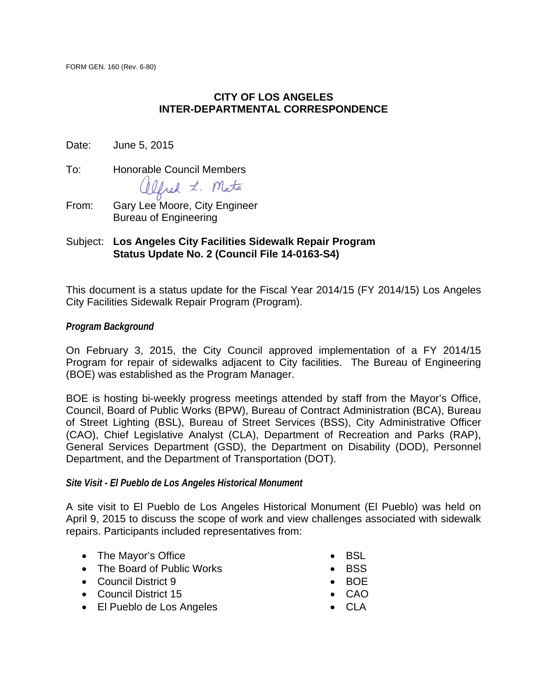#### **CITY OF LOS ANGELES INTER-DEPARTMENTAL CORRESPONDENCE**

Date: June 5, 2015

To: Honorable Council Members

Ofred L. Mata

From: Gary Lee Moore, City Engineer Bureau of Engineering

#### Subject: **Los Angeles City Facilities Sidewalk Repair Program Status Update No. 2 (Council File 14-0163-S4)**

This document is a status update for the Fiscal Year 2014/15 (FY 2014/15) Los Angeles City Facilities Sidewalk Repair Program (Program).

#### *Program Background*

On February 3, 2015, the City Council approved implementation of a FY 2014/15 Program for repair of sidewalks adjacent to City facilities. The Bureau of Engineering (BOE) was established as the Program Manager.

BOE is hosting bi-weekly progress meetings attended by staff from the Mayor's Office, Council, Board of Public Works (BPW), Bureau of Contract Administration (BCA), Bureau of Street Lighting (BSL), Bureau of Street Services (BSS), City Administrative Officer (CAO), Chief Legislative Analyst (CLA), Department of Recreation and Parks (RAP), General Services Department (GSD), the Department on Disability (DOD), Personnel Department, and the Department of Transportation (DOT).

#### *Site Visit - El Pueblo de Los Angeles Historical Monument*

A site visit to El Pueblo de Los Angeles Historical Monument (El Pueblo) was held on April 9, 2015 to discuss the scope of work and view challenges associated with sidewalk repairs. Participants included representatives from:

- The Mayor's Office
- The Board of Public Works
- Council District 9
- Council District 15
- El Pueblo de Los Angeles
- BSL
- $-BSS$
- $\bullet$  BOE
- CAO
- CLA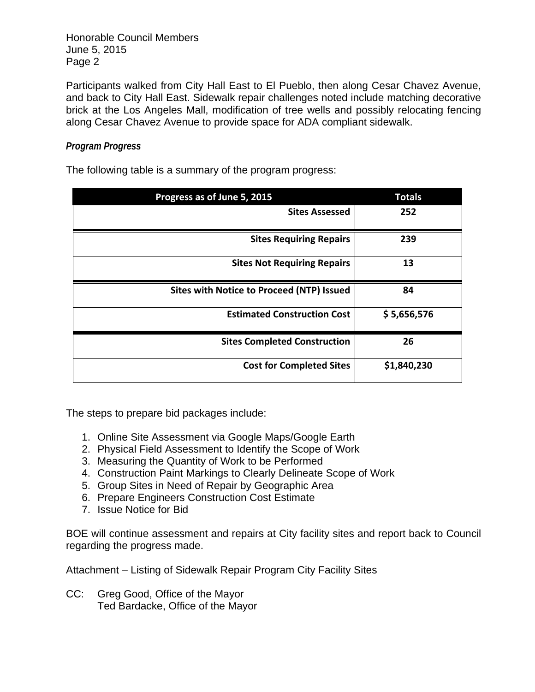Honorable Council Members June 5, 2015 Page 2

Participants walked from City Hall East to El Pueblo, then along Cesar Chavez Avenue, and back to City Hall East. Sidewalk repair challenges noted include matching decorative brick at the Los Angeles Mall, modification of tree wells and possibly relocating fencing along Cesar Chavez Avenue to provide space for ADA compliant sidewalk.

#### *Program Progress*

The following table is a summary of the program progress:

| Progress as of June 5, 2015               | <b>Totals</b> |
|-------------------------------------------|---------------|
| <b>Sites Assessed</b>                     | 252           |
| <b>Sites Requiring Repairs</b>            | 239           |
| <b>Sites Not Requiring Repairs</b>        | 13            |
| Sites with Notice to Proceed (NTP) Issued | 84            |
| <b>Estimated Construction Cost</b>        | \$5,656,576   |
| <b>Sites Completed Construction</b>       | 26            |
| <b>Cost for Completed Sites</b>           | \$1,840,230   |

The steps to prepare bid packages include:

- 1. Online Site Assessment via Google Maps/Google Earth
- 2. Physical Field Assessment to Identify the Scope of Work
- 3. Measuring the Quantity of Work to be Performed
- 4. Construction Paint Markings to Clearly Delineate Scope of Work
- 5. Group Sites in Need of Repair by Geographic Area
- 6. Prepare Engineers Construction Cost Estimate
- 7. Issue Notice for Bid

BOE will continue assessment and repairs at City facility sites and report back to Council regarding the progress made.

Attachment – Listing of Sidewalk Repair Program City Facility Sites

CC: Greg Good, Office of the Mayor Ted Bardacke, Office of the Mayor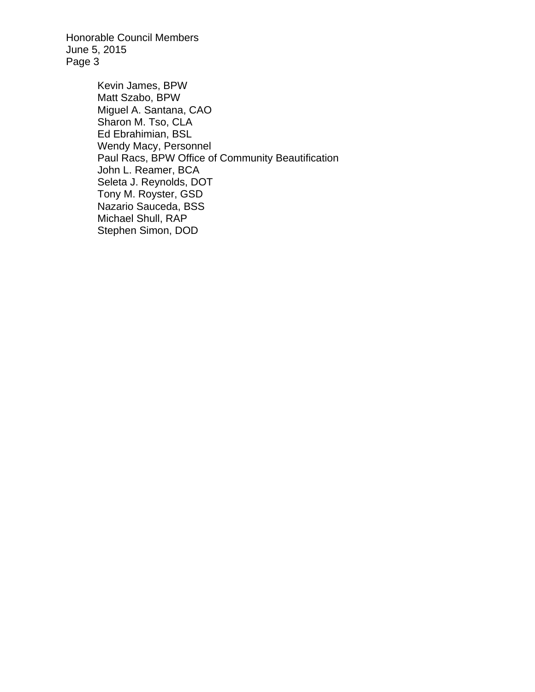Honorable Council Members June 5, 2015 Page 3

> Kevin James, BPW Matt Szabo, BPW Miguel A. Santana, CAO Sharon M. Tso, CLA Ed Ebrahimian, BSL Wendy Macy, Personnel Paul Racs, BPW Office of Community Beautification John L. Reamer, BCA Seleta J. Reynolds, DOT Tony M. Royster, GSD Nazario Sauceda, BSS Michael Shull, RAP Stephen Simon, DOD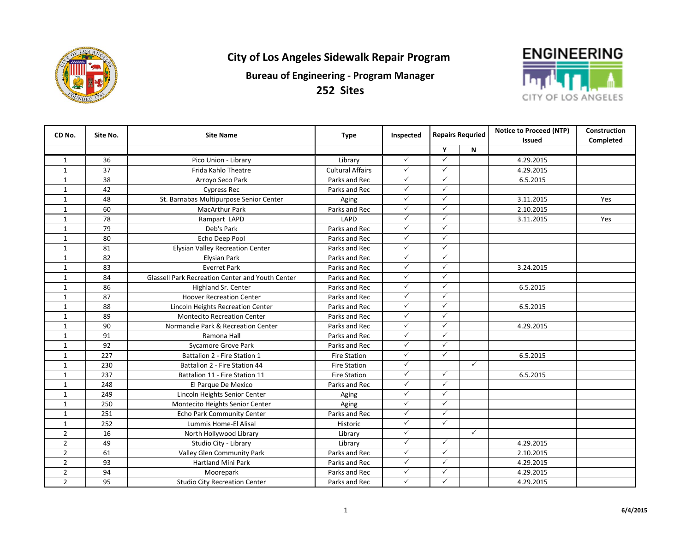

**252 Sites**



| CD No.         | Site No.        | <b>Site Name</b>                                        | Type                    | Inspected                    | <b>Repairs Requried</b> |              | <b>Notice to Proceed (NTP)</b> | Construction |
|----------------|-----------------|---------------------------------------------------------|-------------------------|------------------------------|-------------------------|--------------|--------------------------------|--------------|
|                |                 |                                                         |                         |                              |                         |              | <b>Issued</b>                  | Completed    |
|                |                 |                                                         |                         | $\checkmark$                 | Y<br>✓                  | $\mathbf N$  |                                |              |
| 1              | 36              | Pico Union - Library                                    | Library                 |                              |                         |              | 4.29.2015                      |              |
| $\mathbf{1}$   | 37              | Frida Kahlo Theatre                                     | <b>Cultural Affairs</b> | $\checkmark$<br>$\checkmark$ | ✓<br>$\checkmark$       |              | 4.29.2015                      |              |
| $\mathbf{1}$   | $\overline{38}$ | Arroyo Seco Park                                        | Parks and Rec           |                              |                         |              | 6.5.2015                       |              |
| $\mathbf{1}$   | 42              | <b>Cypress Rec</b>                                      | Parks and Rec           | $\checkmark$                 | $\checkmark$            |              |                                |              |
| $\mathbf{1}$   | 48              | St. Barnabas Multipurpose Senior Center                 | Aging                   | $\checkmark$                 | ✓                       |              | 3.11.2015                      | Yes          |
| $\mathbf{1}$   | 60              | <b>MacArthur Park</b>                                   | Parks and Rec           | $\checkmark$                 | ✓                       |              | 2.10.2015                      |              |
| $\mathbf{1}$   | 78              | Rampart LAPD                                            | LAPD                    | $\checkmark$                 | ✓                       |              | 3.11.2015                      | Yes          |
| $\mathbf{1}$   | 79              | Deb's Park                                              | Parks and Rec           | $\checkmark$                 | $\checkmark$            |              |                                |              |
| $\mathbf{1}$   | 80              | Echo Deep Pool                                          | Parks and Rec           | $\checkmark$                 | $\checkmark$            |              |                                |              |
| $\mathbf{1}$   | 81              | <b>Elysian Valley Recreation Center</b>                 | Parks and Rec           | $\checkmark$                 | $\checkmark$            |              |                                |              |
| $\mathbf{1}$   | 82              | <b>Elysian Park</b>                                     | Parks and Rec           | $\checkmark$                 | $\checkmark$            |              |                                |              |
| $\mathbf{1}$   | 83              | <b>Everret Park</b>                                     | Parks and Rec           | $\checkmark$                 | $\checkmark$            |              | 3.24.2015                      |              |
| $\mathbf{1}$   | 84              | <b>Glassell Park Recreation Center and Youth Center</b> | Parks and Rec           | $\checkmark$                 | ✓                       |              |                                |              |
| $\mathbf{1}$   | 86              | Highland Sr. Center                                     | Parks and Rec           | $\checkmark$                 | ✓                       |              | 6.5.2015                       |              |
| $\mathbf{1}$   | 87              | <b>Hoover Recreation Center</b>                         | Parks and Rec           | $\checkmark$                 | $\checkmark$            |              |                                |              |
| $\mathbf{1}$   | 88              | Lincoln Heights Recreation Center                       | Parks and Rec           | $\checkmark$                 | $\checkmark$            |              | 6.5.2015                       |              |
| $\mathbf{1}$   | 89              | <b>Montecito Recreation Center</b>                      | Parks and Rec           | $\checkmark$                 | $\checkmark$            |              |                                |              |
| $\mathbf{1}$   | 90              | Normandie Park & Recreation Center                      | Parks and Rec           | $\checkmark$                 | ✓                       |              | 4.29.2015                      |              |
| $\mathbf{1}$   | 91              | Ramona Hall                                             | Parks and Rec           | $\checkmark$                 | ✓                       |              |                                |              |
| $\mathbf{1}$   | 92              | <b>Sycamore Grove Park</b>                              | Parks and Rec           | $\checkmark$                 | $\checkmark$            |              |                                |              |
| $\mathbf{1}$   | 227             | Battalion 2 - Fire Station 1                            | <b>Fire Station</b>     | $\checkmark$                 | $\checkmark$            |              | 6.5.2015                       |              |
| $\mathbf{1}$   | 230             | Battalion 2 - Fire Station 44                           | <b>Fire Station</b>     | $\checkmark$                 |                         | $\checkmark$ |                                |              |
| $\mathbf{1}$   | 237             | Battalion 11 - Fire Station 11                          | <b>Fire Station</b>     | $\checkmark$                 | $\checkmark$            |              | 6.5.2015                       |              |
| $\mathbf{1}$   | 248             | El Parque De Mexico                                     | Parks and Rec           | $\checkmark$                 | $\checkmark$            |              |                                |              |
| $\mathbf{1}$   | 249             | Lincoln Heights Senior Center                           | Aging                   | $\checkmark$                 | $\checkmark$            |              |                                |              |
| $\mathbf{1}$   | 250             | Montecito Heights Senior Center                         | Aging                   | $\checkmark$                 | $\checkmark$            |              |                                |              |
| $\mathbf{1}$   | 251             | Echo Park Community Center                              | Parks and Rec           | $\checkmark$                 | $\checkmark$            |              |                                |              |
| $\mathbf{1}$   | 252             | <b>Lummis Home-El Alisal</b>                            | <b>Historic</b>         | $\checkmark$                 | $\checkmark$            |              |                                |              |
| $\overline{2}$ | 16              | North Hollywood Library                                 | Library                 | $\checkmark$                 |                         | $\checkmark$ |                                |              |
| $\overline{2}$ | 49              | Studio City - Library                                   | Library                 | $\checkmark$                 | $\checkmark$            |              | 4.29.2015                      |              |
| $\overline{2}$ | 61              | Valley Glen Community Park                              | Parks and Rec           | $\checkmark$                 | $\checkmark$            |              | 2.10.2015                      |              |
| $\overline{2}$ | 93              | <b>Hartland Mini Park</b>                               | Parks and Rec           | $\checkmark$                 | $\checkmark$            |              | 4.29.2015                      |              |
| $\overline{2}$ | 94              | Moorepark                                               | Parks and Rec           | $\checkmark$                 | $\checkmark$            |              | 4.29.2015                      |              |
| $\overline{2}$ | 95              | <b>Studio City Recreation Center</b>                    | Parks and Rec           | $\checkmark$                 | ✓                       |              | 4.29.2015                      |              |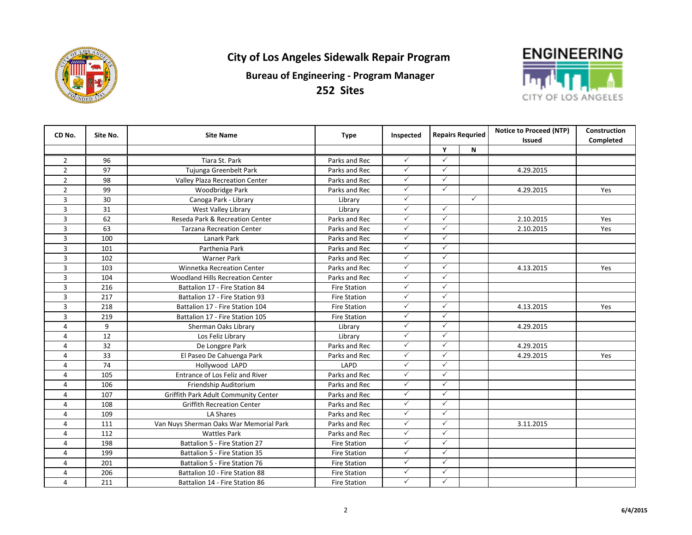

**252 Sites**



| CD No.         | Site No. | <b>Site Name</b>                        | <b>Type</b>         | Inspected    | <b>Repairs Requried</b> |              | <b>Notice to Proceed (NTP)</b><br><b>Issued</b> | <b>Construction</b><br>Completed |
|----------------|----------|-----------------------------------------|---------------------|--------------|-------------------------|--------------|-------------------------------------------------|----------------------------------|
|                |          |                                         |                     |              | Y                       | N            |                                                 |                                  |
| $\overline{2}$ | 96       | Tiara St. Park                          | Parks and Rec       | $\checkmark$ | $\checkmark$            |              |                                                 |                                  |
| $\overline{2}$ | 97       | Tujunga Greenbelt Park                  | Parks and Rec       | $\checkmark$ | $\checkmark$            |              | 4.29.2015                                       |                                  |
| $\overline{2}$ | 98       | Valley Plaza Recreation Center          | Parks and Rec       | $\checkmark$ | $\checkmark$            |              |                                                 |                                  |
| $\overline{2}$ | 99       | Woodbridge Park                         | Parks and Rec       | $\checkmark$ | $\checkmark$            |              | 4.29.2015                                       | Yes                              |
| 3              | 30       | Canoga Park - Library                   | Library             | $\checkmark$ |                         | $\checkmark$ |                                                 |                                  |
| 3              | 31       | West Valley Library                     | Library             | $\checkmark$ | $\checkmark$            |              |                                                 |                                  |
| 3              | 62       | Reseda Park & Recreation Center         | Parks and Rec       | $\checkmark$ | $\checkmark$            |              | 2.10.2015                                       | Yes                              |
| 3              | 63       | <b>Tarzana Recreation Center</b>        | Parks and Rec       | $\checkmark$ | $\checkmark$            |              | 2.10.2015                                       | Yes                              |
| 3              | 100      | Lanark Park                             | Parks and Rec       | $\checkmark$ | $\checkmark$            |              |                                                 |                                  |
| 3              | 101      | Parthenia Park                          | Parks and Rec       | $\checkmark$ | $\checkmark$            |              |                                                 |                                  |
| 3              | 102      | <b>Warner Park</b>                      | Parks and Rec       | $\checkmark$ | $\checkmark$            |              |                                                 |                                  |
| 3              | 103      | <b>Winnetka Recreation Center</b>       | Parks and Rec       | $\checkmark$ | $\checkmark$            |              | 4.13.2015                                       | Yes                              |
| 3              | 104      | Woodland Hills Recreation Center        | Parks and Rec       | $\checkmark$ | $\checkmark$            |              |                                                 |                                  |
| 3              | 216      | Battalion 17 - Fire Station 84          | <b>Fire Station</b> | $\checkmark$ | $\checkmark$            |              |                                                 |                                  |
| 3              | 217      | Battalion 17 - Fire Station 93          | <b>Fire Station</b> | $\checkmark$ | $\checkmark$            |              |                                                 |                                  |
| 3              | 218      | Battalion 17 - Fire Station 104         | <b>Fire Station</b> | $\checkmark$ | $\checkmark$            |              | 4.13.2015                                       | Yes                              |
| 3              | 219      | Battalion 17 - Fire Station 105         | <b>Fire Station</b> | $\checkmark$ | $\checkmark$            |              |                                                 |                                  |
| 4              | 9        | Sherman Oaks Library                    | Library             | $\checkmark$ | $\checkmark$            |              | 4.29.2015                                       |                                  |
| 4              | 12       | Los Feliz Library                       | Library             | $\checkmark$ | $\checkmark$            |              |                                                 |                                  |
| $\sqrt{4}$     | 32       | De Longpre Park                         | Parks and Rec       | $\checkmark$ | $\checkmark$            |              | 4.29.2015                                       |                                  |
| 4              | 33       | El Paseo De Cahuenga Park               | Parks and Rec       | $\checkmark$ | $\checkmark$            |              | 4.29.2015                                       | Yes                              |
| 4              | 74       | Hollywood LAPD                          | LAPD                | $\checkmark$ | $\checkmark$            |              |                                                 |                                  |
| 4              | 105      | Entrance of Los Feliz and River         | Parks and Rec       | $\checkmark$ | $\checkmark$            |              |                                                 |                                  |
| 4              | 106      | Friendship Auditorium                   | Parks and Rec       | $\checkmark$ | $\checkmark$            |              |                                                 |                                  |
| 4              | 107      | Griffith Park Adult Community Center    | Parks and Rec       | $\checkmark$ | $\checkmark$            |              |                                                 |                                  |
| $\overline{4}$ | 108      | <b>Griffith Recreation Center</b>       | Parks and Rec       | $\checkmark$ | $\checkmark$            |              |                                                 |                                  |
| $\overline{4}$ | 109      | LA Shares                               | Parks and Rec       | $\checkmark$ | $\checkmark$            |              |                                                 |                                  |
| $\overline{4}$ | 111      | Van Nuys Sherman Oaks War Memorial Park | Parks and Rec       | $\checkmark$ | $\checkmark$            |              | 3.11.2015                                       |                                  |
| $\overline{4}$ | 112      | <b>Wattles Park</b>                     | Parks and Rec       | $\checkmark$ | $\checkmark$            |              |                                                 |                                  |
| 4              | 198      | Battalion 5 - Fire Station 27           | <b>Fire Station</b> | $\checkmark$ | $\checkmark$            |              |                                                 |                                  |
| $\overline{4}$ | 199      | Battalion 5 - Fire Station 35           | <b>Fire Station</b> | $\checkmark$ | $\checkmark$            |              |                                                 |                                  |
| 4              | 201      | Battalion 5 - Fire Station 76           | <b>Fire Station</b> | $\checkmark$ | $\checkmark$            |              |                                                 |                                  |
| $\overline{4}$ | 206      | Battalion 10 - Fire Station 88          | <b>Fire Station</b> | $\checkmark$ | $\checkmark$            |              |                                                 |                                  |
| $\overline{4}$ | 211      | Battalion 14 - Fire Station 86          | <b>Fire Station</b> | $\checkmark$ | $\checkmark$            |              |                                                 |                                  |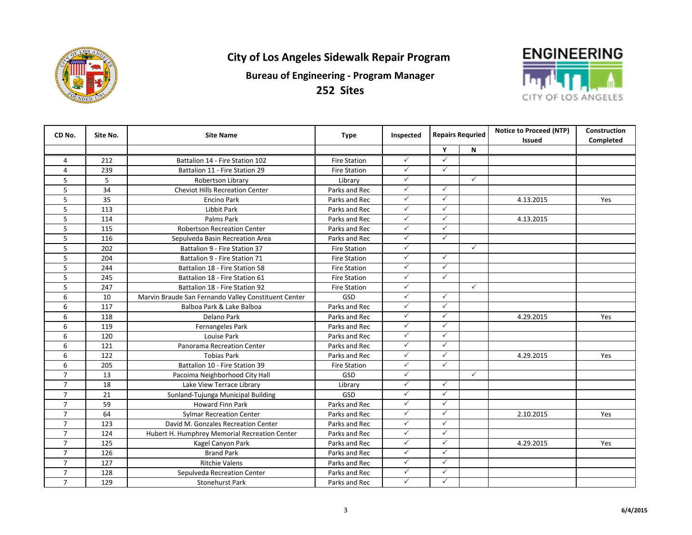



| CD No.         | Site No. | <b>Site Name</b>                                     |                     | <b>Type</b><br>Inspected | <b>Repairs Requried</b> |              |           |           | <b>Notice to Proceed (NTP)</b> | Construction |
|----------------|----------|------------------------------------------------------|---------------------|--------------------------|-------------------------|--------------|-----------|-----------|--------------------------------|--------------|
|                |          |                                                      |                     |                          |                         |              | Issued    | Completed |                                |              |
|                |          |                                                      |                     |                          | Υ                       | N            |           |           |                                |              |
| 4              | 212      | Battalion 14 - Fire Station 102                      | <b>Fire Station</b> | ✓                        | ✓                       |              |           |           |                                |              |
| 4              | 239      | Battalion 11 - Fire Station 29                       | <b>Fire Station</b> | $\checkmark$             | $\checkmark$            |              |           |           |                                |              |
| 5              | 5        | Robertson Library                                    | Library             | $\checkmark$             |                         | $\checkmark$ |           |           |                                |              |
| 5              | 34       | <b>Cheviot Hills Recreation Center</b>               | Parks and Rec       | $\checkmark$             | ✓                       |              |           |           |                                |              |
| 5              | 35       | <b>Encino Park</b>                                   | Parks and Rec       | $\checkmark$             | $\checkmark$            |              | 4.13.2015 | Yes       |                                |              |
| 5              | 113      | Libbit Park                                          | Parks and Rec       | $\checkmark$             | ✓                       |              |           |           |                                |              |
| 5              | 114      | Palms Park                                           | Parks and Rec       | $\checkmark$             | ✓                       |              | 4.13.2015 |           |                                |              |
| 5              | 115      | <b>Robertson Recreation Center</b>                   | Parks and Rec       | $\checkmark$             | $\checkmark$            |              |           |           |                                |              |
| 5              | 116      | Sepulveda Basin Recreation Area                      | Parks and Rec       | $\checkmark$             | $\checkmark$            |              |           |           |                                |              |
| 5              | 202      | Battalion 9 - Fire Station 37                        | <b>Fire Station</b> | $\checkmark$             |                         | $\checkmark$ |           |           |                                |              |
| 5              | 204      | Battalion 9 - Fire Station 71                        | <b>Fire Station</b> | $\checkmark$             | $\checkmark$            |              |           |           |                                |              |
| 5              | 244      | Battalion 18 - Fire Station 58                       | <b>Fire Station</b> | $\checkmark$             | $\checkmark$            |              |           |           |                                |              |
| 5              | 245      | Battalion 18 - Fire Station 61                       | <b>Fire Station</b> | $\checkmark$             | ✓                       |              |           |           |                                |              |
| 5              | 247      | Battalion 18 - Fire Station 92                       | <b>Fire Station</b> | $\checkmark$             |                         | $\checkmark$ |           |           |                                |              |
| 6              | 10       | Marvin Braude San Fernando Valley Constituent Center | GSD                 | $\checkmark$             | $\checkmark$            |              |           |           |                                |              |
| 6              | 117      | Balboa Park & Lake Balboa                            | Parks and Rec       | $\checkmark$             | $\checkmark$            |              |           |           |                                |              |
| 6              | 118      | Delano Park                                          | Parks and Rec       | $\checkmark$             | $\checkmark$            |              | 4.29.2015 | Yes       |                                |              |
| 6              | 119      | Fernangeles Park                                     | Parks and Rec       | $\checkmark$             | $\checkmark$            |              |           |           |                                |              |
| 6              | 120      | Louise Park                                          | Parks and Rec       | $\checkmark$             | $\checkmark$            |              |           |           |                                |              |
| 6              | 121      | Panorama Recreation Center                           | Parks and Rec       | $\checkmark$             | $\checkmark$            |              |           |           |                                |              |
| 6              | 122      | <b>Tobias Park</b>                                   | Parks and Rec       | $\checkmark$             | $\checkmark$            |              | 4.29.2015 | Yes       |                                |              |
| 6              | 205      | Battalion 10 - Fire Station 39                       | <b>Fire Station</b> | $\checkmark$             | $\checkmark$            |              |           |           |                                |              |
| $\overline{7}$ | 13       | Pacoima Neighborhood City Hall                       | GSD                 | $\checkmark$             |                         | $\checkmark$ |           |           |                                |              |
| $\overline{7}$ | 18       | Lake View Terrace Library                            | Library             | $\checkmark$             | $\checkmark$            |              |           |           |                                |              |
| $\overline{7}$ | 21       | Sunland-Tujunga Municipal Building                   | GSD                 | $\checkmark$             | $\checkmark$            |              |           |           |                                |              |
| $\overline{7}$ | 59       | Howard Finn Park                                     | Parks and Rec       | $\checkmark$             | ✓                       |              |           |           |                                |              |
| $\overline{7}$ | 64       | <b>Sylmar Recreation Center</b>                      | Parks and Rec       | $\checkmark$             | ✓                       |              | 2.10.2015 | Yes       |                                |              |
| $\overline{7}$ | 123      | David M. Gonzales Recreation Center                  | Parks and Rec       | $\checkmark$             | ✓                       |              |           |           |                                |              |
| $\overline{7}$ | 124      | Hubert H. Humphrey Memorial Recreation Center        | Parks and Rec       | $\checkmark$             | ✓                       |              |           |           |                                |              |
| $\overline{7}$ | 125      | Kagel Canyon Park                                    | Parks and Rec       | $\checkmark$             | ✓                       |              | 4.29.2015 | Yes       |                                |              |
| $\overline{7}$ | 126      | <b>Brand Park</b>                                    | Parks and Rec       | $\checkmark$             | ✓                       |              |           |           |                                |              |
| $\overline{7}$ | 127      | <b>Ritchie Valens</b>                                | Parks and Rec       | $\checkmark$             | $\checkmark$            |              |           |           |                                |              |
| $\overline{7}$ | 128      | Sepulveda Recreation Center                          | Parks and Rec       | $\checkmark$             | ✓                       |              |           |           |                                |              |
| $\overline{7}$ | 129      | <b>Stonehurst Park</b>                               | Parks and Rec       | $\checkmark$             | $\checkmark$            |              |           |           |                                |              |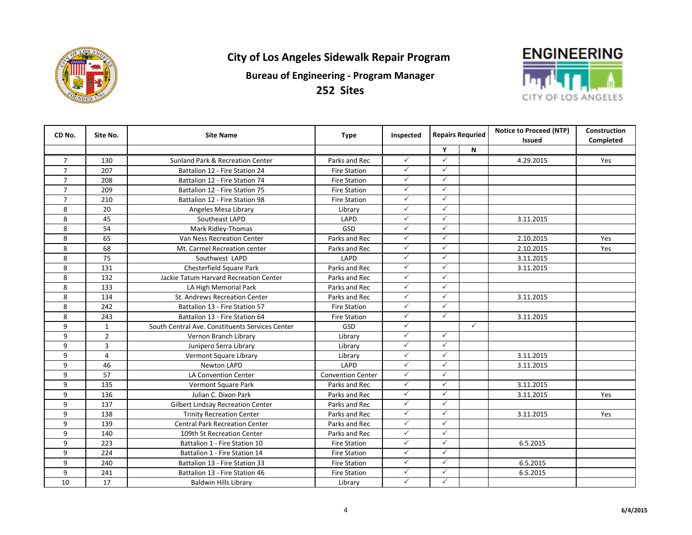



| CD No.         | Site No.       | <b>Site Name</b>                                | <b>Type</b>              | Inspected    | <b>Repairs Requried</b> |              | <b>Notice to Proceed (NTP)</b> | Construction |
|----------------|----------------|-------------------------------------------------|--------------------------|--------------|-------------------------|--------------|--------------------------------|--------------|
|                |                |                                                 |                          |              |                         |              |                                |              |
|                |                |                                                 |                          |              | Y                       | N            |                                |              |
| $\overline{7}$ | 130            | Sunland Park & Recreation Center                | Parks and Rec            | $\checkmark$ | ✓                       |              | 4.29.2015                      | Yes          |
| $\overline{7}$ | 207            | Battalion 12 - Fire Station 24                  | <b>Fire Station</b>      | $\checkmark$ | $\checkmark$            |              |                                |              |
| $\overline{7}$ | 208            | Battalion 12 - Fire Station 74                  | <b>Fire Station</b>      | $\checkmark$ | $\checkmark$            |              |                                |              |
| $\overline{7}$ | 209            | Battalion 12 - Fire Station 75                  | <b>Fire Station</b>      | $\checkmark$ | $\checkmark$            |              |                                |              |
| $\overline{7}$ | 210            | Battalion 12 - Fire Station 98                  | <b>Fire Station</b>      | $\checkmark$ | $\checkmark$            |              |                                |              |
| 8              | 20             | Angeles Mesa Library                            | Library                  | $\checkmark$ | $\checkmark$            |              |                                |              |
| 8              | 45             | Southeast LAPD                                  | LAPD                     | $\checkmark$ | $\checkmark$            |              | 3.11.2015                      |              |
| 8              | 54             | Mark Ridley-Thomas                              | GSD                      | $\checkmark$ | $\checkmark$            |              |                                |              |
| 8              | 65             | Van Ness Recreation Center                      | Parks and Rec            | $\checkmark$ | $\checkmark$            |              | 2.10.2015                      | Yes          |
| 8              | 68             | Mt. Carmel Recreation center                    | Parks and Rec            | $\checkmark$ | $\checkmark$            |              | 2.10.2015                      | Yes          |
| 8              | 75             | Southwest LAPD                                  | LAPD                     | $\checkmark$ | $\checkmark$            |              | 3.11.2015                      |              |
| 8              | 131            | Chesterfield Square Park                        | Parks and Rec            | $\checkmark$ | $\checkmark$            |              | 3.11.2015                      |              |
| 8              | 132            | Jackie Tatum Harvard Recreation Center          | Parks and Rec            | $\checkmark$ | $\checkmark$            |              |                                |              |
| 8              | 133            | LA High Memorial Park                           | Parks and Rec            | $\checkmark$ | $\checkmark$            |              |                                |              |
| 8              | 134            | St. Andrews Recreation Center                   | Parks and Rec            | $\checkmark$ | $\checkmark$            |              | 3.11.2015                      |              |
| 8              | 242            | Battalion 13 - Fire Station 57                  | <b>Fire Station</b>      | $\checkmark$ | $\checkmark$            |              |                                |              |
| 8              | 243            | Battalion 13 - Fire Station 64                  | <b>Fire Station</b>      | $\checkmark$ | $\checkmark$            |              | 3.11.2015                      |              |
| 9              | $\mathbf{1}$   | South Central Ave. Constituents Services Center | <b>GSD</b>               | $\checkmark$ |                         | $\checkmark$ |                                |              |
| 9              | $\overline{2}$ | Vernon Branch Library                           | Library                  | $\checkmark$ | $\checkmark$            |              |                                |              |
| 9              | $\overline{3}$ | Junipero Serra Library                          | Library                  | $\checkmark$ | $\checkmark$            |              |                                |              |
| 9              | 4              | Vermont Square Library                          | Library                  | $\checkmark$ | $\checkmark$            |              | 3.11.2015                      |              |
| 9              | 46             | <b>Newton LAPD</b>                              | LAPD                     | $\checkmark$ | $\checkmark$            |              | 3.11.2015                      |              |
| 9              | 57             | <b>LA Convention Center</b>                     | <b>Convention Center</b> | $\checkmark$ | $\checkmark$            |              |                                |              |
| 9              | 135            | Vermont Square Park                             | Parks and Rec            | $\checkmark$ | $\checkmark$            |              | 3.11.2015                      |              |
| 9              | 136            | Julian C. Dixon Park                            | Parks and Rec            | $\checkmark$ | $\checkmark$            |              | 3.11.2015                      | Yes          |
| 9              | 137            | Gilbert Lindsay Recreation Center               | Parks and Rec            | $\checkmark$ | $\checkmark$            |              |                                |              |
| 9              | 138            | <b>Trinity Recreation Center</b>                | Parks and Rec            | $\checkmark$ | $\checkmark$            |              | 3.11.2015                      | Yes          |
| 9              | 139            | <b>Central Park Recreation Center</b>           | Parks and Rec            | $\checkmark$ | $\checkmark$            |              |                                |              |
| 9              | 140            | 109th St Recreation Center                      | Parks and Rec            | $\checkmark$ | $\checkmark$            |              |                                |              |
| 9              | 223            | Battalion 1 - Fire Station 10                   | <b>Fire Station</b>      | $\checkmark$ | $\checkmark$            |              | 6.5.2015                       |              |
| 9              | 224            | Battalion 1 - Fire Station 14                   | <b>Fire Station</b>      | $\checkmark$ | $\checkmark$            |              |                                |              |
| 9              | 240            | Battalion 13 - Fire Station 33                  | <b>Fire Station</b>      | $\checkmark$ | $\checkmark$            |              | 6.5.2015                       |              |
| 9              | 241            | Battalion 13 - Fire Station 46                  | <b>Fire Station</b>      | $\checkmark$ | $\checkmark$            |              | 6.5.2015                       |              |
| 10             | 17             | <b>Baldwin Hills Library</b>                    | Library                  | $\checkmark$ | $\checkmark$            |              |                                |              |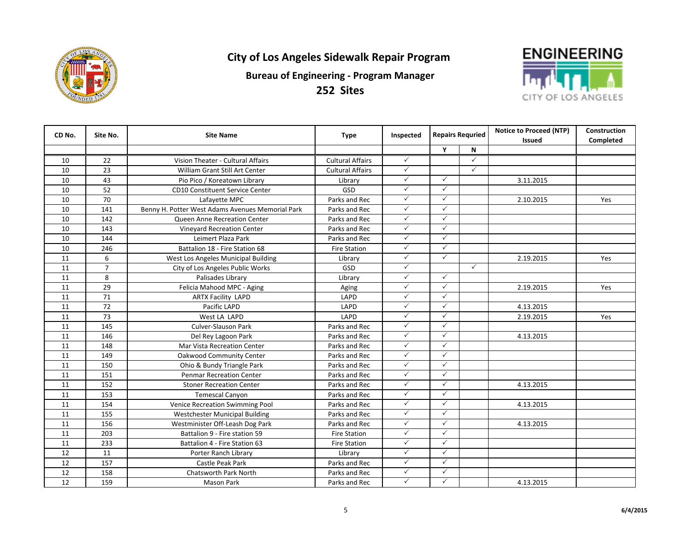

**252 Sites**



| CD No. | Site No.       | <b>Site Name</b>                                 | <b>Type</b>             | Inspected    | <b>Repairs Requried</b> |              | <b>Notice to Proceed (NTP)</b><br><b>Issued</b> | <b>Construction</b><br>Completed |
|--------|----------------|--------------------------------------------------|-------------------------|--------------|-------------------------|--------------|-------------------------------------------------|----------------------------------|
|        |                |                                                  |                         |              | Y                       | N            |                                                 |                                  |
| 10     | 22             | Vision Theater - Cultural Affairs                | <b>Cultural Affairs</b> | $\checkmark$ |                         | $\checkmark$ |                                                 |                                  |
| 10     | 23             | William Grant Still Art Center                   | <b>Cultural Affairs</b> | $\checkmark$ |                         | $\checkmark$ |                                                 |                                  |
| 10     | 43             | Pio Pico / Koreatown Library                     | Library                 | $\checkmark$ | $\checkmark$            |              | 3.11.2015                                       |                                  |
| 10     | 52             | <b>CD10 Constituent Service Center</b>           | GSD                     | $\checkmark$ | $\checkmark$            |              |                                                 |                                  |
| 10     | 70             | Lafayette MPC                                    | Parks and Rec           | $\checkmark$ | $\checkmark$            |              | 2.10.2015                                       | Yes                              |
| 10     | 141            | Benny H. Potter West Adams Avenues Memorial Park | Parks and Rec           | $\checkmark$ | $\checkmark$            |              |                                                 |                                  |
| 10     | 142            | <b>Queen Anne Recreation Center</b>              | Parks and Rec           | $\checkmark$ | $\checkmark$            |              |                                                 |                                  |
| 10     | 143            | <b>Vinevard Recreation Center</b>                | Parks and Rec           | $\checkmark$ | $\checkmark$            |              |                                                 |                                  |
| 10     | 144            | Leimert Plaza Park                               | Parks and Rec           | $\checkmark$ | $\checkmark$            |              |                                                 |                                  |
| 10     | 246            | Battalion 18 - Fire Station 68                   | <b>Fire Station</b>     | $\checkmark$ | $\checkmark$            |              |                                                 |                                  |
| 11     | 6              | West Los Angeles Municipal Building              | Library                 | $\checkmark$ | $\checkmark$            |              | 2.19.2015                                       | Yes                              |
| 11     | $\overline{7}$ | City of Los Angeles Public Works                 | GSD                     | $\checkmark$ |                         | $\checkmark$ |                                                 |                                  |
| 11     | 8              | Palisades Library                                | Library                 | $\checkmark$ | $\checkmark$            |              |                                                 |                                  |
| 11     | 29             | Felicia Mahood MPC - Aging                       | Aging                   | $\checkmark$ | $\checkmark$            |              | 2.19.2015                                       | Yes                              |
| 11     | 71             | <b>ARTX Facility LAPD</b>                        | LAPD                    | $\checkmark$ | $\checkmark$            |              |                                                 |                                  |
| 11     | 72             | Pacific LAPD                                     | LAPD                    | $\checkmark$ | $\checkmark$            |              | 4.13.2015                                       |                                  |
| 11     | 73             | West LA LAPD                                     | LAPD                    | $\checkmark$ | $\checkmark$            |              | 2.19.2015                                       | Yes                              |
| 11     | 145            | Culver-Slauson Park                              | Parks and Rec           | $\checkmark$ | $\checkmark$            |              |                                                 |                                  |
| 11     | 146            | Del Rey Lagoon Park                              | Parks and Rec           | $\checkmark$ | $\checkmark$            |              | 4.13.2015                                       |                                  |
| 11     | 148            | Mar Vista Recreation Center                      | Parks and Rec           | $\checkmark$ | $\checkmark$            |              |                                                 |                                  |
| 11     | 149            | Oakwood Community Center                         | Parks and Rec           | $\checkmark$ | $\checkmark$            |              |                                                 |                                  |
| 11     | 150            | Ohio & Bundy Triangle Park                       | Parks and Rec           | $\checkmark$ | $\checkmark$            |              |                                                 |                                  |
| 11     | 151            | <b>Penmar Recreation Center</b>                  | Parks and Rec           | $\checkmark$ | $\checkmark$            |              |                                                 |                                  |
| 11     | 152            | <b>Stoner Recreation Center</b>                  | Parks and Rec           | $\checkmark$ | $\checkmark$            |              | 4.13.2015                                       |                                  |
| 11     | 153            | <b>Temescal Canyon</b>                           | Parks and Rec           | $\checkmark$ | $\checkmark$            |              |                                                 |                                  |
| 11     | 154            | Venice Recreation Swimming Pool                  | Parks and Rec           | $\checkmark$ | $\checkmark$            |              | 4.13.2015                                       |                                  |
| 11     | 155            | Westchester Municipal Building                   | Parks and Rec           | $\checkmark$ | $\checkmark$            |              |                                                 |                                  |
| 11     | 156            | Westminister Off-Leash Dog Park                  | Parks and Rec           | $\checkmark$ | $\checkmark$            |              | 4.13.2015                                       |                                  |
| 11     | 203            | Battalion 9 - Fire station 59                    | <b>Fire Station</b>     | $\checkmark$ | $\checkmark$            |              |                                                 |                                  |
| 11     | 233            | Battalion 4 - Fire Station 63                    | <b>Fire Station</b>     | $\checkmark$ | $\checkmark$            |              |                                                 |                                  |
| 12     | 11             | Porter Ranch Library                             | Library                 | $\checkmark$ | $\checkmark$            |              |                                                 |                                  |
| 12     | 157            | Castle Peak Park                                 | Parks and Rec           | $\checkmark$ | $\checkmark$            |              |                                                 |                                  |
| 12     | 158            | Chatsworth Park North                            | Parks and Rec           | $\checkmark$ | $\checkmark$            |              |                                                 |                                  |
| 12     | 159            | Mason Park                                       | Parks and Rec           | $\checkmark$ | $\checkmark$            |              | 4.13.2015                                       |                                  |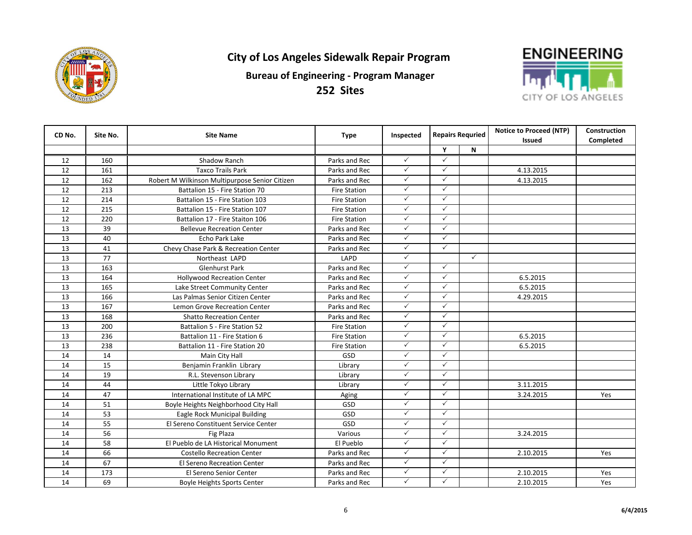



| CD No. | Site No. | <b>Site Name</b>                               | <b>Type</b>         | Inspected    | <b>Repairs Requried</b> |              |               |           |  |  | <b>Notice to Proceed (NTP)</b> | <b>Construction</b> |
|--------|----------|------------------------------------------------|---------------------|--------------|-------------------------|--------------|---------------|-----------|--|--|--------------------------------|---------------------|
|        |          |                                                |                     |              |                         |              | <b>Issued</b> | Completed |  |  |                                |                     |
|        |          |                                                |                     |              | Y                       | N            |               |           |  |  |                                |                     |
| 12     | 160      | Shadow Ranch                                   | Parks and Rec       | $\checkmark$ | ✓                       |              |               |           |  |  |                                |                     |
| 12     | 161      | <b>Taxco Trails Park</b>                       | Parks and Rec       | $\checkmark$ | $\checkmark$            |              | 4.13.2015     |           |  |  |                                |                     |
| 12     | 162      | Robert M Wilkinson Multipurpose Senior Citizen | Parks and Rec       | $\checkmark$ | ✓                       |              | 4.13.2015     |           |  |  |                                |                     |
| 12     | 213      | Battalion 15 - Fire Station 70                 | <b>Fire Station</b> | $\checkmark$ | ✓                       |              |               |           |  |  |                                |                     |
| 12     | 214      | Battalion 15 - Fire Station 103                | <b>Fire Station</b> | $\checkmark$ | $\checkmark$            |              |               |           |  |  |                                |                     |
| 12     | 215      | Battalion 15 - Fire Station 107                | <b>Fire Station</b> | $\checkmark$ | ✓                       |              |               |           |  |  |                                |                     |
| 12     | 220      | Battalion 17 - Fire Staiton 106                | <b>Fire Station</b> | $\checkmark$ | $\checkmark$            |              |               |           |  |  |                                |                     |
| 13     | 39       | <b>Bellevue Recreation Center</b>              | Parks and Rec       | $\checkmark$ | ✓                       |              |               |           |  |  |                                |                     |
| 13     | 40       | Echo Park Lake                                 | Parks and Rec       | $\checkmark$ | ✓                       |              |               |           |  |  |                                |                     |
| 13     | 41       | Chevy Chase Park & Recreation Center           | Parks and Rec       | $\checkmark$ | ✓                       |              |               |           |  |  |                                |                     |
| 13     | 77       | Northeast LAPD                                 | LAPD                | $\checkmark$ |                         | $\checkmark$ |               |           |  |  |                                |                     |
| 13     | 163      | Glenhurst Park                                 | Parks and Rec       | $\checkmark$ | ✓                       |              |               |           |  |  |                                |                     |
| 13     | 164      | <b>Hollywood Recreation Center</b>             | Parks and Rec       | $\checkmark$ | ✓                       |              | 6.5.2015      |           |  |  |                                |                     |
| 13     | 165      | Lake Street Community Center                   | Parks and Rec       | $\checkmark$ | $\checkmark$            |              | 6.5.2015      |           |  |  |                                |                     |
| 13     | 166      | Las Palmas Senior Citizen Center               | Parks and Rec       | $\checkmark$ | ✓                       |              | 4.29.2015     |           |  |  |                                |                     |
| 13     | 167      | Lemon Grove Recreation Center                  | Parks and Rec       | $\checkmark$ | $\checkmark$            |              |               |           |  |  |                                |                     |
| 13     | 168      | <b>Shatto Recreation Center</b>                | Parks and Rec       | $\checkmark$ | $\checkmark$            |              |               |           |  |  |                                |                     |
| 13     | 200      | Battalion 5 - Fire Station 52                  | <b>Fire Station</b> | $\checkmark$ | $\checkmark$            |              |               |           |  |  |                                |                     |
| 13     | 236      | Battalion 11 - Fire Station 6                  | <b>Fire Station</b> | $\checkmark$ | $\checkmark$            |              | 6.5.2015      |           |  |  |                                |                     |
| 13     | 238      | Battalion 11 - Fire Station 20                 | <b>Fire Station</b> | $\checkmark$ | $\checkmark$            |              | 6.5.2015      |           |  |  |                                |                     |
| 14     | 14       | Main City Hall                                 | GSD                 | $\checkmark$ | $\checkmark$            |              |               |           |  |  |                                |                     |
| 14     | 15       | Benjamin Franklin Library                      | Library             | $\checkmark$ | $\checkmark$            |              |               |           |  |  |                                |                     |
| 14     | 19       | R.L. Stevenson Library                         | Library             | $\checkmark$ | $\checkmark$            |              |               |           |  |  |                                |                     |
| 14     | 44       | Little Tokyo Library                           | Library             | $\checkmark$ | $\checkmark$            |              | 3.11.2015     |           |  |  |                                |                     |
| 14     | 47       | International Institute of LA MPC              | Aging               | $\checkmark$ | $\checkmark$            |              | 3.24.2015     | Yes       |  |  |                                |                     |
| 14     | 51       | Boyle Heights Neighborhood City Hall           | GSD                 | $\checkmark$ | ✓                       |              |               |           |  |  |                                |                     |
| 14     | 53       | Eagle Rock Municipal Building                  | GSD                 | $\checkmark$ | $\checkmark$            |              |               |           |  |  |                                |                     |
| 14     | 55       | El Sereno Constituent Service Center           | GSD                 | $\checkmark$ | ✓                       |              |               |           |  |  |                                |                     |
| 14     | 56       | Fig Plaza                                      | Various             | $\checkmark$ | $\checkmark$            |              | 3.24.2015     |           |  |  |                                |                     |
| 14     | 58       | El Pueblo de LA Historical Monument            | El Pueblo           | $\checkmark$ | $\checkmark$            |              |               |           |  |  |                                |                     |
| 14     | 66       | <b>Costello Recreation Center</b>              | Parks and Rec       | $\checkmark$ | $\checkmark$            |              | 2.10.2015     | Yes       |  |  |                                |                     |
| 14     | 67       | <b>El Sereno Recreation Center</b>             | Parks and Rec       | $\checkmark$ | $\checkmark$            |              |               |           |  |  |                                |                     |
| 14     | 173      | El Sereno Senior Center                        | Parks and Rec       | $\checkmark$ | ✓                       |              | 2.10.2015     | Yes       |  |  |                                |                     |
| 14     | 69       | <b>Boyle Heights Sports Center</b>             | Parks and Rec       | $\checkmark$ | $\checkmark$            |              | 2.10.2015     | Yes       |  |  |                                |                     |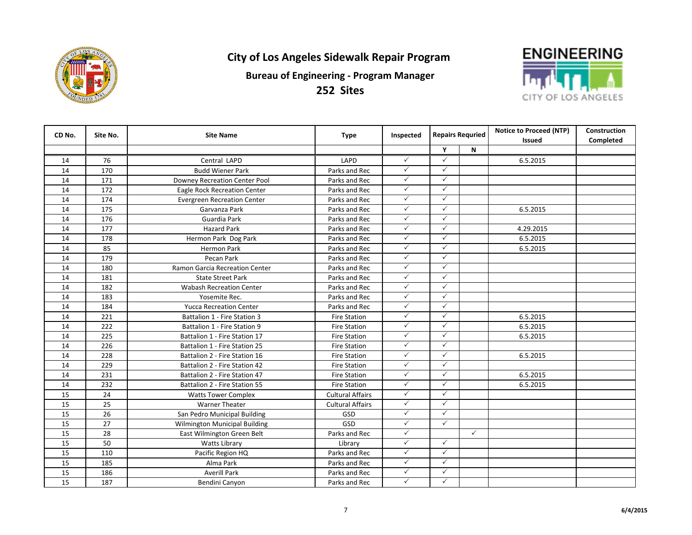



| CD No.          | Site No. | <b>Site Name</b>                   | <b>Type</b>             | Inspected    | <b>Repairs Requried</b> |              |               |           | <b>Notice to Proceed (NTP)</b> | Construction |
|-----------------|----------|------------------------------------|-------------------------|--------------|-------------------------|--------------|---------------|-----------|--------------------------------|--------------|
|                 |          |                                    |                         |              |                         |              | <b>Issued</b> | Completed |                                |              |
|                 |          |                                    |                         |              | Y                       | N            |               |           |                                |              |
| 14              | 76       | Central LAPD                       | LAPD                    | $\checkmark$ | ✓                       |              | 6.5.2015      |           |                                |              |
| 14              | 170      | <b>Budd Wiener Park</b>            | Parks and Rec           | $\checkmark$ | $\checkmark$            |              |               |           |                                |              |
| 14              | 171      | Downey Recreation Center Pool      | Parks and Rec           | $\checkmark$ | ✓                       |              |               |           |                                |              |
| 14              | 172      | Eagle Rock Recreation Center       | Parks and Rec           | $\checkmark$ | ✓                       |              |               |           |                                |              |
| 14              | 174      | <b>Evergreen Recreation Center</b> | Parks and Rec           | $\checkmark$ | $\checkmark$            |              |               |           |                                |              |
| 14              | 175      | Garvanza Park                      | Parks and Rec           | $\checkmark$ | ✓                       |              | 6.5.2015      |           |                                |              |
| 14              | 176      | Guardia Park                       | Parks and Rec           | $\checkmark$ | $\checkmark$            |              |               |           |                                |              |
| 14              | 177      | <b>Hazard Park</b>                 | Parks and Rec           | $\checkmark$ | ✓                       |              | 4.29.2015     |           |                                |              |
| 14              | 178      | Hermon Park Dog Park               | Parks and Rec           | $\checkmark$ | $\checkmark$            |              | 6.5.2015      |           |                                |              |
| 14              | 85       | <b>Hermon Park</b>                 | Parks and Rec           | $\checkmark$ | ✓                       |              | 6.5.2015      |           |                                |              |
| 14              | 179      | Pecan Park                         | Parks and Rec           | $\checkmark$ | ✓                       |              |               |           |                                |              |
| 14              | 180      | Ramon Garcia Recreation Center     | Parks and Rec           | $\checkmark$ | $\checkmark$            |              |               |           |                                |              |
| 14              | 181      | <b>State Street Park</b>           | Parks and Rec           | $\checkmark$ | $\checkmark$            |              |               |           |                                |              |
| 14              | 182      | <b>Wabash Recreation Center</b>    | Parks and Rec           | $\checkmark$ | ✓                       |              |               |           |                                |              |
| 14              | 183      | Yosemite Rec.                      | Parks and Rec           | $\checkmark$ | $\checkmark$            |              |               |           |                                |              |
| 14              | 184      | <b>Yucca Recreation Center</b>     | Parks and Rec           | $\checkmark$ | $\checkmark$            |              |               |           |                                |              |
| 14              | 221      | Battalion 1 - Fire Station 3       | <b>Fire Station</b>     | $\checkmark$ | $\checkmark$            |              | 6.5.2015      |           |                                |              |
| 14              | 222      | Battalion 1 - Fire Station 9       | <b>Fire Station</b>     | $\checkmark$ | $\checkmark$            |              | 6.5.2015      |           |                                |              |
| 14              | 225      | Battalion 1 - Fire Station 17      | <b>Fire Station</b>     | $\checkmark$ | $\checkmark$            |              | 6.5.2015      |           |                                |              |
| 14              | 226      | Battalion 1 - Fire Station 25      | <b>Fire Station</b>     | $\checkmark$ | $\checkmark$            |              |               |           |                                |              |
| 14              | 228      | Battalion 2 - Fire Station 16      | <b>Fire Station</b>     | $\checkmark$ | $\checkmark$            |              | 6.5.2015      |           |                                |              |
| 14              | 229      | Battalion 2 - Fire Station 42      | <b>Fire Station</b>     | $\checkmark$ | $\checkmark$            |              |               |           |                                |              |
| 14              | 231      | Battalion 2 - Fire Station 47      | <b>Fire Station</b>     | $\checkmark$ | $\checkmark$            |              | 6.5.2015      |           |                                |              |
| 14              | 232      | Battalion 2 - Fire Station 55      | <b>Fire Station</b>     | $\checkmark$ | ✓                       |              | 6.5.2015      |           |                                |              |
| 15              | 24       | <b>Watts Tower Complex</b>         | <b>Cultural Affairs</b> | $\checkmark$ | ✓                       |              |               |           |                                |              |
| $\overline{15}$ | 25       | <b>Warner Theater</b>              | <b>Cultural Affairs</b> | $\checkmark$ | ✓                       |              |               |           |                                |              |
| 15              | 26       | San Pedro Municipal Building       | GSD                     | $\checkmark$ | ✓                       |              |               |           |                                |              |
| 15              | 27       | Wilmington Municipal Building      | GSD                     | $\checkmark$ | $\checkmark$            |              |               |           |                                |              |
| 15              | 28       | East Wilmington Green Belt         | Parks and Rec           | $\checkmark$ |                         | $\checkmark$ |               |           |                                |              |
| 15              | 50       | <b>Watts Library</b>               | Library                 | $\checkmark$ | $\checkmark$            |              |               |           |                                |              |
| 15              | 110      | Pacific Region HQ                  | Parks and Rec           | $\checkmark$ | $\checkmark$            |              |               |           |                                |              |
| 15              | 185      | Alma Park                          | Parks and Rec           | $\checkmark$ | $\checkmark$            |              |               |           |                                |              |
| 15              | 186      | <b>Averill Park</b>                | Parks and Rec           | $\checkmark$ | ✓                       |              |               |           |                                |              |
| 15              | 187      | Bendini Canyon                     | Parks and Rec           | $\checkmark$ | $\checkmark$            |              |               |           |                                |              |